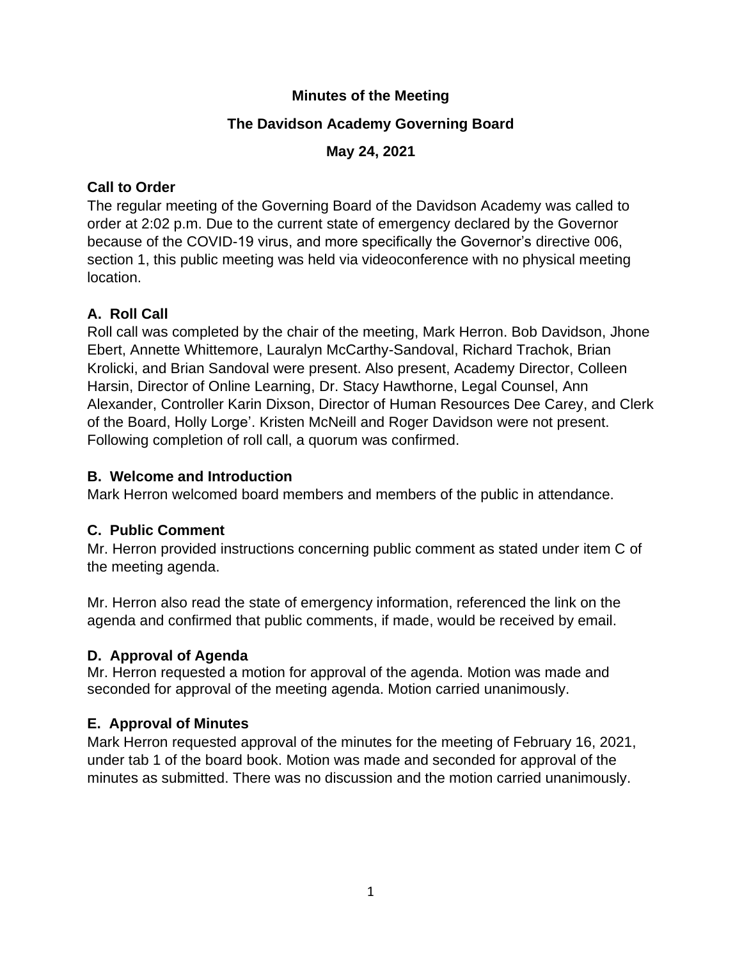### **Minutes of the Meeting**

## **The Davidson Academy Governing Board**

## **May 24, 2021**

## **Call to Order**

The regular meeting of the Governing Board of the Davidson Academy was called to order at 2:02 p.m. Due to the current state of emergency declared by the Governor because of the COVID-19 virus, and more specifically the Governor's directive 006, section 1, this public meeting was held via videoconference with no physical meeting location.

# **A. Roll Call**

Roll call was completed by the chair of the meeting, Mark Herron. Bob Davidson, Jhone Ebert, Annette Whittemore, Lauralyn McCarthy-Sandoval, Richard Trachok, Brian Krolicki, and Brian Sandoval were present. Also present, Academy Director, Colleen Harsin, Director of Online Learning, Dr. Stacy Hawthorne, Legal Counsel, Ann Alexander, Controller Karin Dixson, Director of Human Resources Dee Carey, and Clerk of the Board, Holly Lorge'. Kristen McNeill and Roger Davidson were not present. Following completion of roll call, a quorum was confirmed.

## **B. Welcome and Introduction**

Mark Herron welcomed board members and members of the public in attendance.

# **C. Public Comment**

Mr. Herron provided instructions concerning public comment as stated under item C of the meeting agenda.

Mr. Herron also read the state of emergency information, referenced the link on the agenda and confirmed that public comments, if made, would be received by email.

# **D. Approval of Agenda**

Mr. Herron requested a motion for approval of the agenda. Motion was made and seconded for approval of the meeting agenda. Motion carried unanimously.

# **E. Approval of Minutes**

Mark Herron requested approval of the minutes for the meeting of February 16, 2021, under tab 1 of the board book. Motion was made and seconded for approval of the minutes as submitted. There was no discussion and the motion carried unanimously.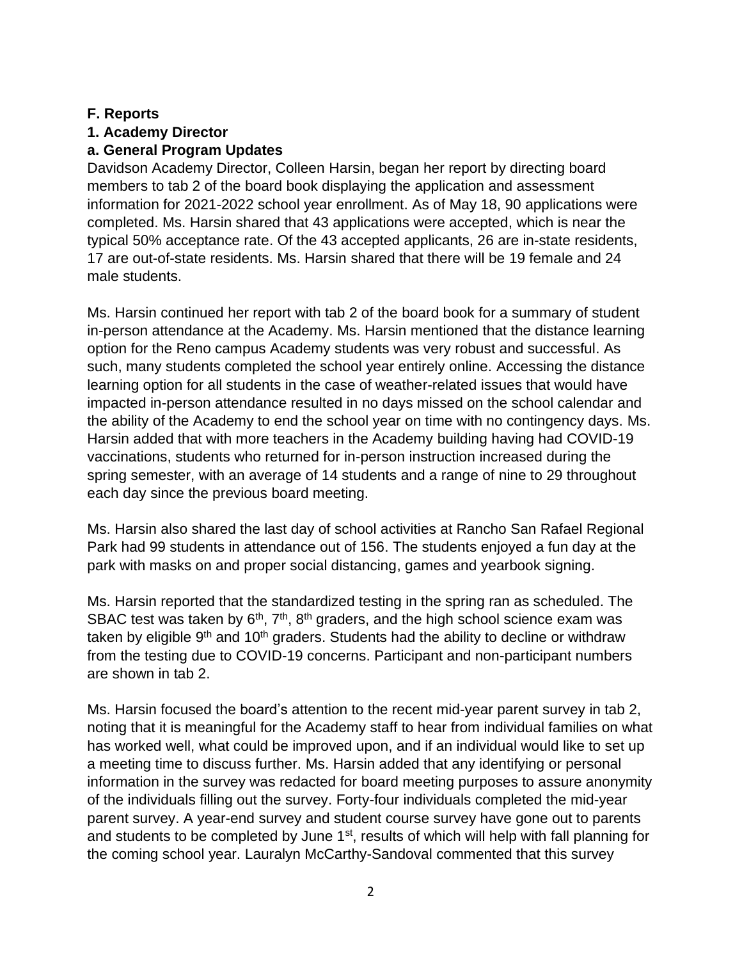#### **F. Reports**

## **1. Academy Director**

### **a. General Program Updates**

Davidson Academy Director, Colleen Harsin, began her report by directing board members to tab 2 of the board book displaying the application and assessment information for 2021-2022 school year enrollment. As of May 18, 90 applications were completed. Ms. Harsin shared that 43 applications were accepted, which is near the typical 50% acceptance rate. Of the 43 accepted applicants, 26 are in-state residents, 17 are out-of-state residents. Ms. Harsin shared that there will be 19 female and 24 male students.

Ms. Harsin continued her report with tab 2 of the board book for a summary of student in-person attendance at the Academy. Ms. Harsin mentioned that the distance learning option for the Reno campus Academy students was very robust and successful. As such, many students completed the school year entirely online. Accessing the distance learning option for all students in the case of weather-related issues that would have impacted in-person attendance resulted in no days missed on the school calendar and the ability of the Academy to end the school year on time with no contingency days. Ms. Harsin added that with more teachers in the Academy building having had COVID-19 vaccinations, students who returned for in-person instruction increased during the spring semester, with an average of 14 students and a range of nine to 29 throughout each day since the previous board meeting.

Ms. Harsin also shared the last day of school activities at Rancho San Rafael Regional Park had 99 students in attendance out of 156. The students enjoyed a fun day at the park with masks on and proper social distancing, games and yearbook signing.

Ms. Harsin reported that the standardized testing in the spring ran as scheduled. The SBAC test was taken by  $6<sup>th</sup>$ ,  $7<sup>th</sup>$ ,  $8<sup>th</sup>$  graders, and the high school science exam was taken by eligible  $9<sup>th</sup>$  and 10<sup>th</sup> graders. Students had the ability to decline or withdraw from the testing due to COVID-19 concerns. Participant and non-participant numbers are shown in tab 2.

Ms. Harsin focused the board's attention to the recent mid-year parent survey in tab 2, noting that it is meaningful for the Academy staff to hear from individual families on what has worked well, what could be improved upon, and if an individual would like to set up a meeting time to discuss further. Ms. Harsin added that any identifying or personal information in the survey was redacted for board meeting purposes to assure anonymity of the individuals filling out the survey. Forty-four individuals completed the mid-year parent survey. A year-end survey and student course survey have gone out to parents and students to be completed by June 1<sup>st</sup>, results of which will help with fall planning for the coming school year. Lauralyn McCarthy-Sandoval commented that this survey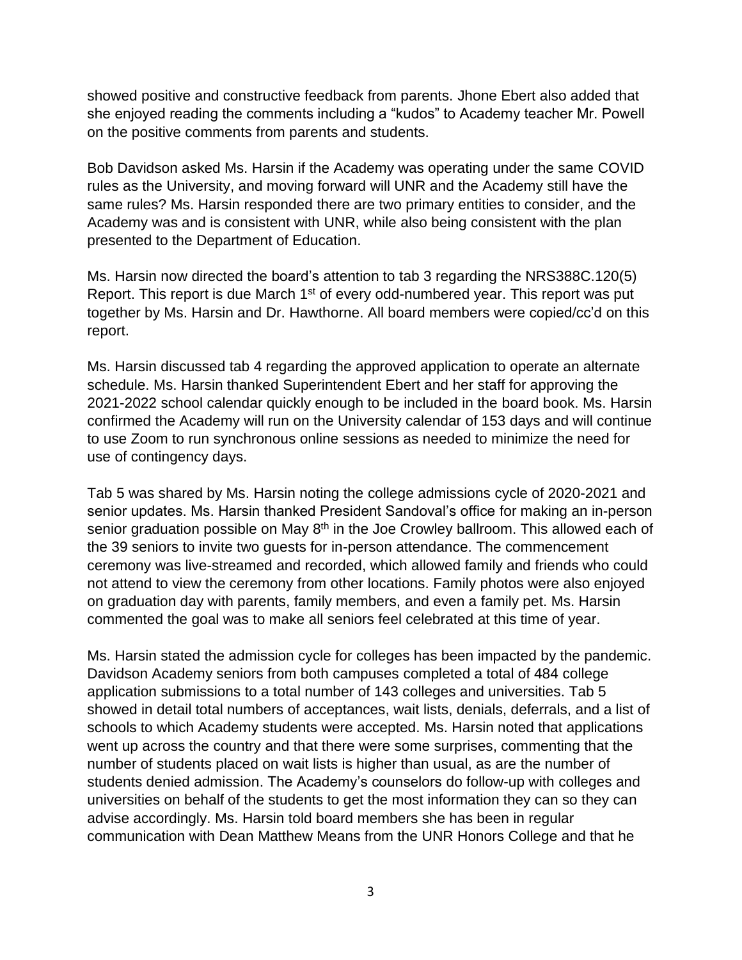showed positive and constructive feedback from parents. Jhone Ebert also added that she enjoyed reading the comments including a "kudos" to Academy teacher Mr. Powell on the positive comments from parents and students.

Bob Davidson asked Ms. Harsin if the Academy was operating under the same COVID rules as the University, and moving forward will UNR and the Academy still have the same rules? Ms. Harsin responded there are two primary entities to consider, and the Academy was and is consistent with UNR, while also being consistent with the plan presented to the Department of Education.

Ms. Harsin now directed the board's attention to tab 3 regarding the NRS388C.120(5) Report. This report is due March 1<sup>st</sup> of every odd-numbered year. This report was put together by Ms. Harsin and Dr. Hawthorne. All board members were copied/cc'd on this report.

Ms. Harsin discussed tab 4 regarding the approved application to operate an alternate schedule. Ms. Harsin thanked Superintendent Ebert and her staff for approving the 2021-2022 school calendar quickly enough to be included in the board book. Ms. Harsin confirmed the Academy will run on the University calendar of 153 days and will continue to use Zoom to run synchronous online sessions as needed to minimize the need for use of contingency days.

Tab 5 was shared by Ms. Harsin noting the college admissions cycle of 2020-2021 and senior updates. Ms. Harsin thanked President Sandoval's office for making an in-person senior graduation possible on May 8<sup>th</sup> in the Joe Crowley ballroom. This allowed each of the 39 seniors to invite two guests for in-person attendance. The commencement ceremony was live-streamed and recorded, which allowed family and friends who could not attend to view the ceremony from other locations. Family photos were also enjoyed on graduation day with parents, family members, and even a family pet. Ms. Harsin commented the goal was to make all seniors feel celebrated at this time of year.

Ms. Harsin stated the admission cycle for colleges has been impacted by the pandemic. Davidson Academy seniors from both campuses completed a total of 484 college application submissions to a total number of 143 colleges and universities. Tab 5 showed in detail total numbers of acceptances, wait lists, denials, deferrals, and a list of schools to which Academy students were accepted. Ms. Harsin noted that applications went up across the country and that there were some surprises, commenting that the number of students placed on wait lists is higher than usual, as are the number of students denied admission. The Academy's counselors do follow-up with colleges and universities on behalf of the students to get the most information they can so they can advise accordingly. Ms. Harsin told board members she has been in regular communication with Dean Matthew Means from the UNR Honors College and that he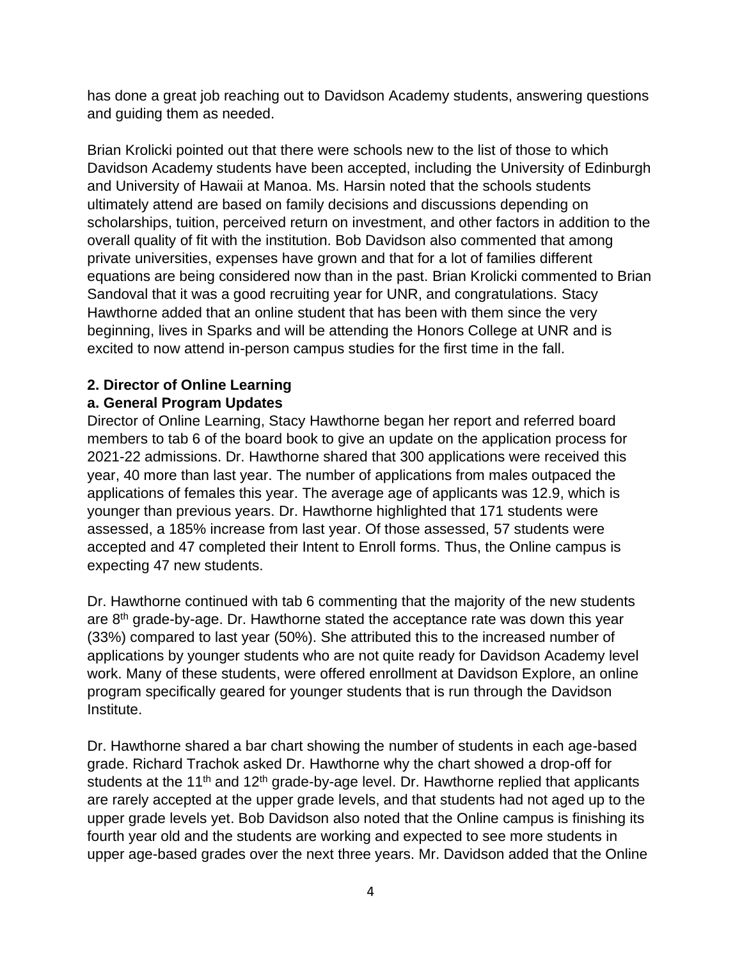has done a great job reaching out to Davidson Academy students, answering questions and guiding them as needed.

Brian Krolicki pointed out that there were schools new to the list of those to which Davidson Academy students have been accepted, including the University of Edinburgh and University of Hawaii at Manoa. Ms. Harsin noted that the schools students ultimately attend are based on family decisions and discussions depending on scholarships, tuition, perceived return on investment, and other factors in addition to the overall quality of fit with the institution. Bob Davidson also commented that among private universities, expenses have grown and that for a lot of families different equations are being considered now than in the past. Brian Krolicki commented to Brian Sandoval that it was a good recruiting year for UNR, and congratulations. Stacy Hawthorne added that an online student that has been with them since the very beginning, lives in Sparks and will be attending the Honors College at UNR and is excited to now attend in-person campus studies for the first time in the fall.

# **2. Director of Online Learning**

## **a. General Program Updates**

Director of Online Learning, Stacy Hawthorne began her report and referred board members to tab 6 of the board book to give an update on the application process for 2021-22 admissions. Dr. Hawthorne shared that 300 applications were received this year, 40 more than last year. The number of applications from males outpaced the applications of females this year. The average age of applicants was 12.9, which is younger than previous years. Dr. Hawthorne highlighted that 171 students were assessed, a 185% increase from last year. Of those assessed, 57 students were accepted and 47 completed their Intent to Enroll forms. Thus, the Online campus is expecting 47 new students.

Dr. Hawthorne continued with tab 6 commenting that the majority of the new students are 8<sup>th</sup> grade-by-age. Dr. Hawthorne stated the acceptance rate was down this year (33%) compared to last year (50%). She attributed this to the increased number of applications by younger students who are not quite ready for Davidson Academy level work. Many of these students, were offered enrollment at Davidson Explore, an online program specifically geared for younger students that is run through the Davidson Institute.

Dr. Hawthorne shared a bar chart showing the number of students in each age-based grade. Richard Trachok asked Dr. Hawthorne why the chart showed a drop-off for students at the 11<sup>th</sup> and 12<sup>th</sup> grade-by-age level. Dr. Hawthorne replied that applicants are rarely accepted at the upper grade levels, and that students had not aged up to the upper grade levels yet. Bob Davidson also noted that the Online campus is finishing its fourth year old and the students are working and expected to see more students in upper age-based grades over the next three years. Mr. Davidson added that the Online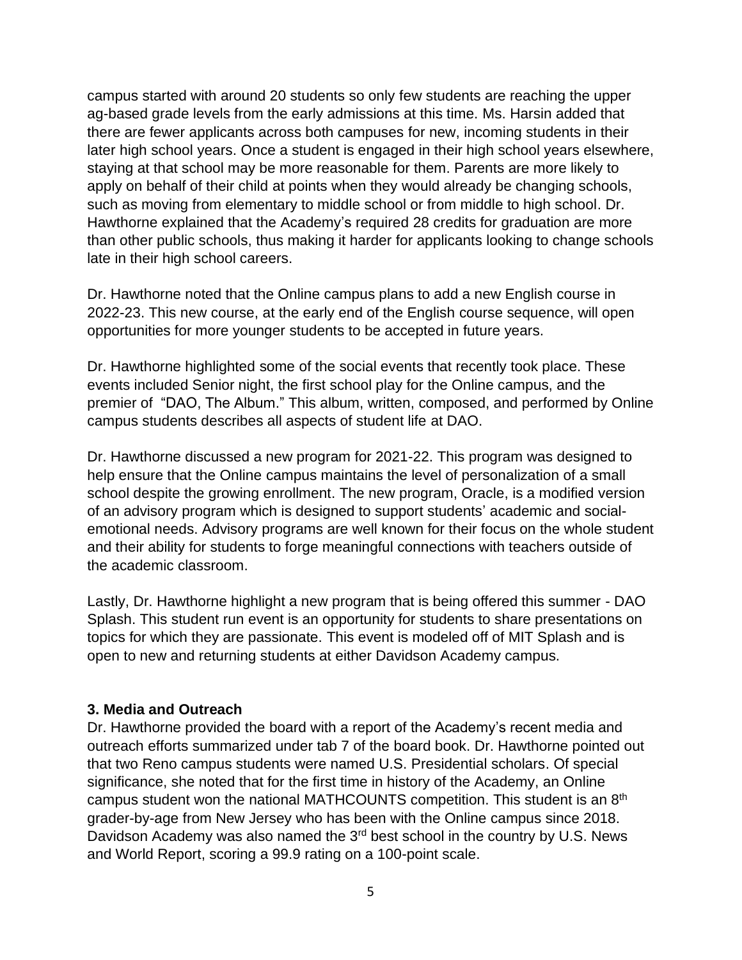campus started with around 20 students so only few students are reaching the upper ag-based grade levels from the early admissions at this time. Ms. Harsin added that there are fewer applicants across both campuses for new, incoming students in their later high school years. Once a student is engaged in their high school years elsewhere, staying at that school may be more reasonable for them. Parents are more likely to apply on behalf of their child at points when they would already be changing schools, such as moving from elementary to middle school or from middle to high school. Dr. Hawthorne explained that the Academy's required 28 credits for graduation are more than other public schools, thus making it harder for applicants looking to change schools late in their high school careers.

Dr. Hawthorne noted that the Online campus plans to add a new English course in 2022-23. This new course, at the early end of the English course sequence, will open opportunities for more younger students to be accepted in future years.

Dr. Hawthorne highlighted some of the social events that recently took place. These events included Senior night, the first school play for the Online campus, and the premier of "DAO, The Album." This album, written, composed, and performed by Online campus students describes all aspects of student life at DAO.

Dr. Hawthorne discussed a new program for 2021-22. This program was designed to help ensure that the Online campus maintains the level of personalization of a small school despite the growing enrollment. The new program, Oracle, is a modified version of an advisory program which is designed to support students' academic and socialemotional needs. Advisory programs are well known for their focus on the whole student and their ability for students to forge meaningful connections with teachers outside of the academic classroom.

Lastly, Dr. Hawthorne highlight a new program that is being offered this summer - DAO Splash. This student run event is an opportunity for students to share presentations on topics for which they are passionate. This event is modeled off of MIT Splash and is open to new and returning students at either Davidson Academy campus.

#### **3. Media and Outreach**

Dr. Hawthorne provided the board with a report of the Academy's recent media and outreach efforts summarized under tab 7 of the board book. Dr. Hawthorne pointed out that two Reno campus students were named U.S. Presidential scholars. Of special significance, she noted that for the first time in history of the Academy, an Online campus student won the national MATHCOUNTS competition. This student is an  $8<sup>th</sup>$ grader-by-age from New Jersey who has been with the Online campus since 2018. Davidson Academy was also named the 3<sup>rd</sup> best school in the country by U.S. News and World Report, scoring a 99.9 rating on a 100-point scale.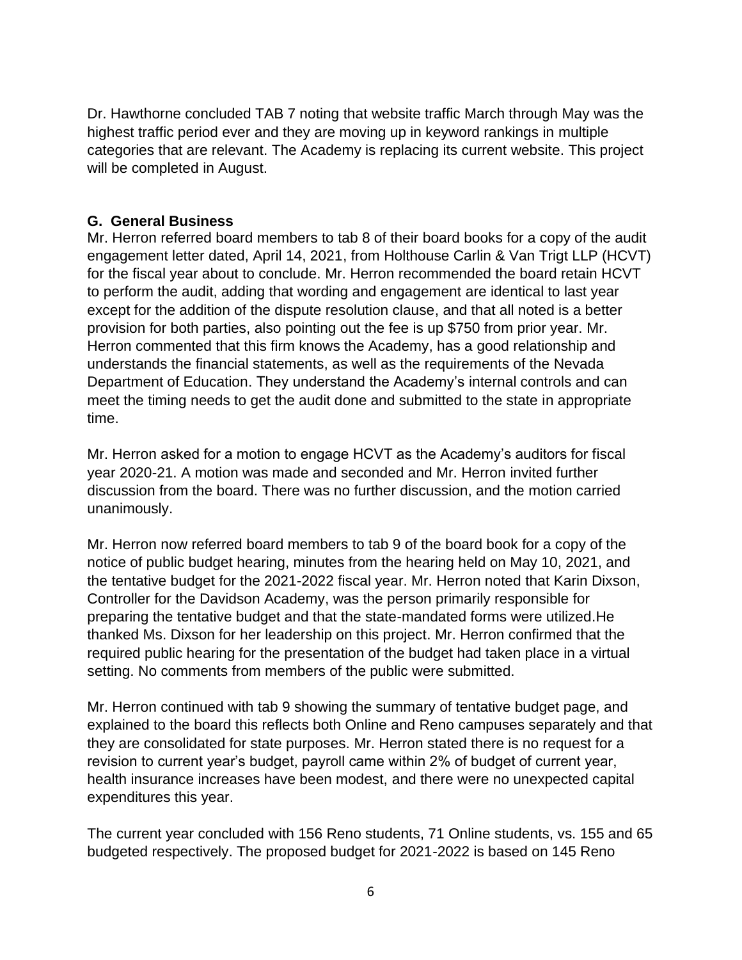Dr. Hawthorne concluded TAB 7 noting that website traffic March through May was the highest traffic period ever and they are moving up in keyword rankings in multiple categories that are relevant. The Academy is replacing its current website. This project will be completed in August.

### **G. General Business**

Mr. Herron referred board members to tab 8 of their board books for a copy of the audit engagement letter dated, April 14, 2021, from Holthouse Carlin & Van Trigt LLP (HCVT) for the fiscal year about to conclude. Mr. Herron recommended the board retain HCVT to perform the audit, adding that wording and engagement are identical to last year except for the addition of the dispute resolution clause, and that all noted is a better provision for both parties, also pointing out the fee is up \$750 from prior year. Mr. Herron commented that this firm knows the Academy, has a good relationship and understands the financial statements, as well as the requirements of the Nevada Department of Education. They understand the Academy's internal controls and can meet the timing needs to get the audit done and submitted to the state in appropriate time.

Mr. Herron asked for a motion to engage HCVT as the Academy's auditors for fiscal year 2020-21. A motion was made and seconded and Mr. Herron invited further discussion from the board. There was no further discussion, and the motion carried unanimously.

Mr. Herron now referred board members to tab 9 of the board book for a copy of the notice of public budget hearing, minutes from the hearing held on May 10, 2021, and the tentative budget for the 2021-2022 fiscal year. Mr. Herron noted that Karin Dixson, Controller for the Davidson Academy, was the person primarily responsible for preparing the tentative budget and that the state-mandated forms were utilized.He thanked Ms. Dixson for her leadership on this project. Mr. Herron confirmed that the required public hearing for the presentation of the budget had taken place in a virtual setting. No comments from members of the public were submitted.

Mr. Herron continued with tab 9 showing the summary of tentative budget page, and explained to the board this reflects both Online and Reno campuses separately and that they are consolidated for state purposes. Mr. Herron stated there is no request for a revision to current year's budget, payroll came within 2% of budget of current year, health insurance increases have been modest, and there were no unexpected capital expenditures this year.

The current year concluded with 156 Reno students, 71 Online students, vs. 155 and 65 budgeted respectively. The proposed budget for 2021-2022 is based on 145 Reno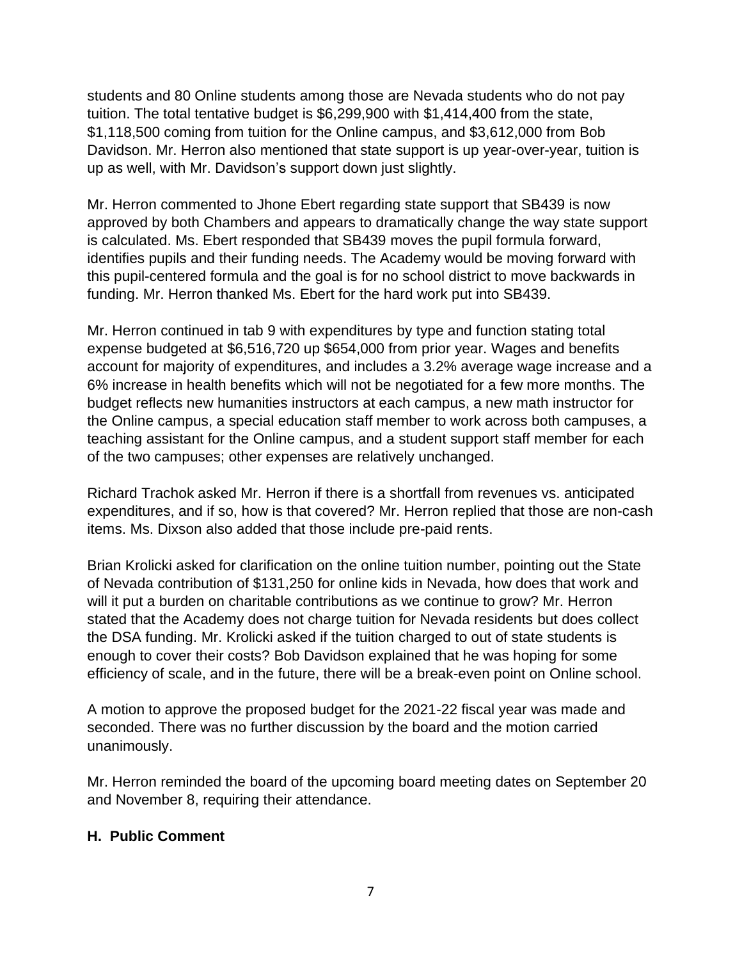students and 80 Online students among those are Nevada students who do not pay tuition. The total tentative budget is \$6,299,900 with \$1,414,400 from the state, \$1,118,500 coming from tuition for the Online campus, and \$3,612,000 from Bob Davidson. Mr. Herron also mentioned that state support is up year-over-year, tuition is up as well, with Mr. Davidson's support down just slightly.

Mr. Herron commented to Jhone Ebert regarding state support that SB439 is now approved by both Chambers and appears to dramatically change the way state support is calculated. Ms. Ebert responded that SB439 moves the pupil formula forward, identifies pupils and their funding needs. The Academy would be moving forward with this pupil-centered formula and the goal is for no school district to move backwards in funding. Mr. Herron thanked Ms. Ebert for the hard work put into SB439.

Mr. Herron continued in tab 9 with expenditures by type and function stating total expense budgeted at \$6,516,720 up \$654,000 from prior year. Wages and benefits account for majority of expenditures, and includes a 3.2% average wage increase and a 6% increase in health benefits which will not be negotiated for a few more months. The budget reflects new humanities instructors at each campus, a new math instructor for the Online campus, a special education staff member to work across both campuses, a teaching assistant for the Online campus, and a student support staff member for each of the two campuses; other expenses are relatively unchanged.

Richard Trachok asked Mr. Herron if there is a shortfall from revenues vs. anticipated expenditures, and if so, how is that covered? Mr. Herron replied that those are non-cash items. Ms. Dixson also added that those include pre-paid rents.

Brian Krolicki asked for clarification on the online tuition number, pointing out the State of Nevada contribution of \$131,250 for online kids in Nevada, how does that work and will it put a burden on charitable contributions as we continue to grow? Mr. Herron stated that the Academy does not charge tuition for Nevada residents but does collect the DSA funding. Mr. Krolicki asked if the tuition charged to out of state students is enough to cover their costs? Bob Davidson explained that he was hoping for some efficiency of scale, and in the future, there will be a break-even point on Online school.

A motion to approve the proposed budget for the 2021-22 fiscal year was made and seconded. There was no further discussion by the board and the motion carried unanimously.

Mr. Herron reminded the board of the upcoming board meeting dates on September 20 and November 8, requiring their attendance.

#### **H. Public Comment**